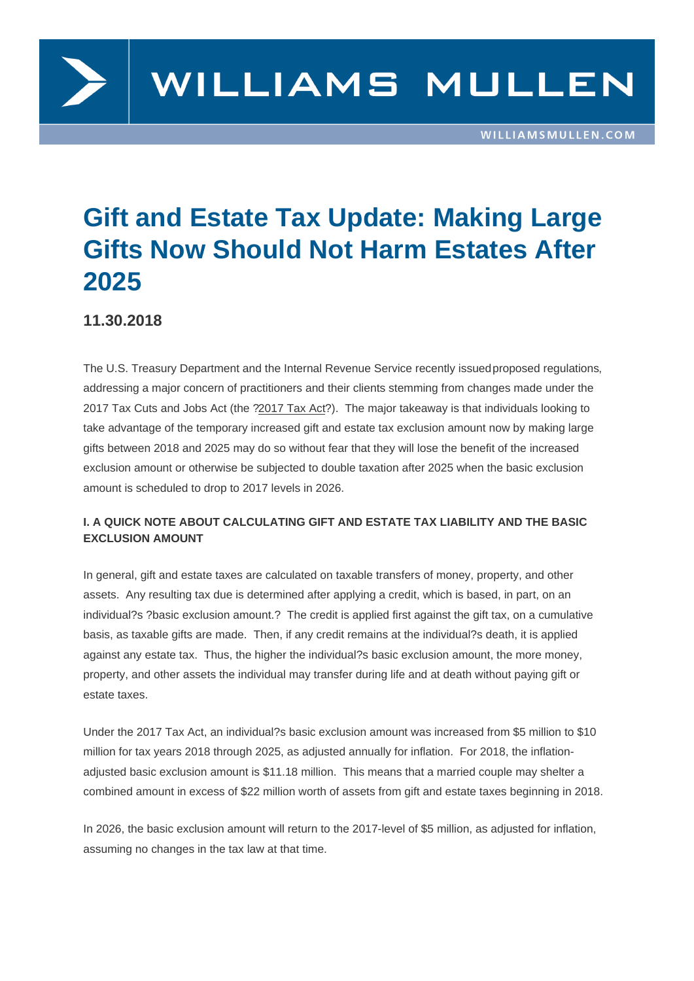# Gift and Estate Tax Update: Making Large Gifts Now Should Not Harm Estates After 2025

11.30.2018

The U.S. Treasury Department and the Internal Revenue Service recently issued proposed regulations, addressing a major concern of practitioners and their clients stemming from changes made under the 2017 Tax Cuts and Jobs Act (the ?2017 Tax Act?). The major takeaway is that individuals looking to take advantage of the temporary increased gift and estate tax exclusion amount [now by making large](https://s3.amazonaws.com/public-inspection.federalregister.gov/2018-25538.pdf)  gifts between 2018 and 2025 may do so without fear that they will lose the benefit of the increased exclusion amount or otherwise be subjected to double taxation after 2025 when the basic exclusion amount is scheduled to drop to 2017 levels in 2026.

## I. A QUICK NOTE ABOUT CALCULATING GIFT AND ESTATE TAX LIABILITY AND THE BASIC EXCLUSION AMOUNT

In general, gift and estate taxes are calculated on taxable transfers of money, property, and other assets. Any resulting tax due is determined after applying a credit, which is based, in part, on an individual?s ?basic exclusion amount.? The credit is applied first against the gift tax, on a cumulative basis, as taxable gifts are made. Then, if any credit remains at the individual?s death, it is applied against any estate tax. Thus, the higher the individual?s basic exclusion amount, the more money, property, and other assets the individual may transfer during life and at death without paying gift or estate taxes.

Under the 2017 Tax Act, an individual?s basic exclusion amount was increased from \$5 million to \$10 million for tax years 2018 through 2025, as adjusted annually for inflation. For 2018, the inflationadjusted basic exclusion amount is \$11.18 million. This means that a married couple may shelter a combined amount in excess of \$22 million worth of assets from gift and estate taxes beginning in 2018.

In 2026, the basic exclusion amount will return to the 2017-level of \$5 million, as adjusted for inflation, assuming no changes in the tax law at that time.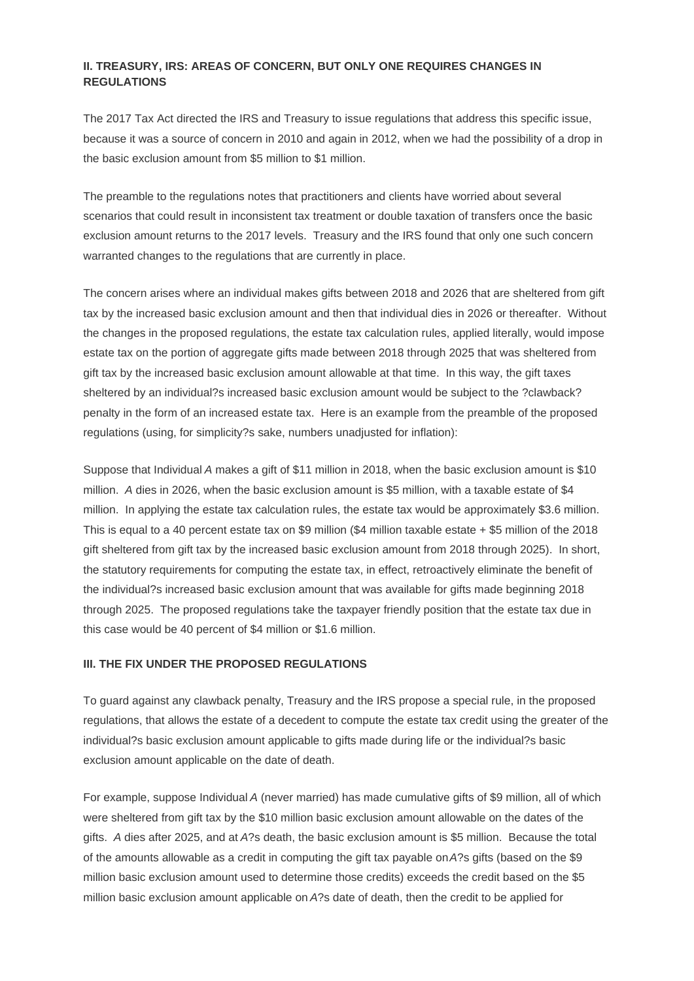## **II. TREASURY, IRS: AREAS OF CONCERN, BUT ONLY ONE REQUIRES CHANGES IN REGULATIONS**

The 2017 Tax Act directed the IRS and Treasury to issue regulations that address this specific issue, because it was a source of concern in 2010 and again in 2012, when we had the possibility of a drop in the basic exclusion amount from \$5 million to \$1 million.

The preamble to the regulations notes that practitioners and clients have worried about several scenarios that could result in inconsistent tax treatment or double taxation of transfers once the basic exclusion amount returns to the 2017 levels. Treasury and the IRS found that only one such concern warranted changes to the regulations that are currently in place.

The concern arises where an individual makes gifts between 2018 and 2026 that are sheltered from gift tax by the increased basic exclusion amount and then that individual dies in 2026 or thereafter. Without the changes in the proposed regulations, the estate tax calculation rules, applied literally, would impose estate tax on the portion of aggregate gifts made between 2018 through 2025 that was sheltered from gift tax by the increased basic exclusion amount allowable at that time. In this way, the gift taxes sheltered by an individual?s increased basic exclusion amount would be subject to the ?clawback? penalty in the form of an increased estate tax. Here is an example from the preamble of the proposed regulations (using, for simplicity?s sake, numbers unadjusted for inflation):

Suppose that Individual A makes a gift of \$11 million in 2018, when the basic exclusion amount is \$10 million. A dies in 2026, when the basic exclusion amount is \$5 million, with a taxable estate of \$4 million. In applying the estate tax calculation rules, the estate tax would be approximately \$3.6 million. This is equal to a 40 percent estate tax on \$9 million (\$4 million taxable estate + \$5 million of the 2018 gift sheltered from gift tax by the increased basic exclusion amount from 2018 through 2025). In short, the statutory requirements for computing the estate tax, in effect, retroactively eliminate the benefit of the individual?s increased basic exclusion amount that was available for gifts made beginning 2018 through 2025. The proposed regulations take the taxpayer friendly position that the estate tax due in this case would be 40 percent of \$4 million or \$1.6 million.

#### **III. THE FIX UNDER THE PROPOSED REGULATIONS**

To guard against any clawback penalty, Treasury and the IRS propose a special rule, in the proposed regulations, that allows the estate of a decedent to compute the estate tax credit using the greater of the individual?s basic exclusion amount applicable to gifts made during life or the individual?s basic exclusion amount applicable on the date of death.

For example, suppose Individual A (never married) has made cumulative gifts of \$9 million, all of which were sheltered from gift tax by the \$10 million basic exclusion amount allowable on the dates of the gifts. A dies after 2025, and at A?s death, the basic exclusion amount is \$5 million. Because the total of the amounts allowable as a credit in computing the gift tax payable on A?s gifts (based on the \$9 million basic exclusion amount used to determine those credits) exceeds the credit based on the \$5 million basic exclusion amount applicable on A?s date of death, then the credit to be applied for